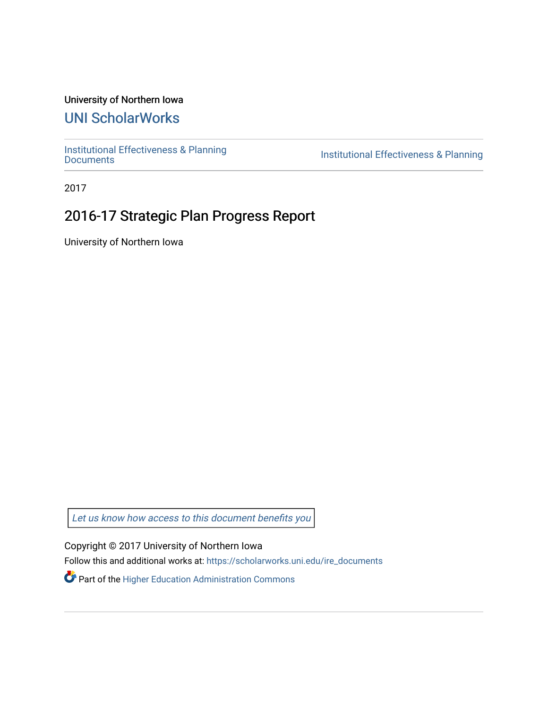### University of Northern Iowa

# [UNI ScholarWorks](https://scholarworks.uni.edu/)

[Institutional Effectiveness & Planning](https://scholarworks.uni.edu/ire_documents)

Institutional Effectiveness & Planning

2017

# 2016-17 Strategic Plan Progress Report

University of Northern Iowa

[Let us know how access to this document benefits you](https://scholarworks.uni.edu/feedback_form.html) 

Copyright © 2017 University of Northern Iowa

Follow this and additional works at: [https://scholarworks.uni.edu/ire\\_documents](https://scholarworks.uni.edu/ire_documents?utm_source=scholarworks.uni.edu%2Fire_documents%2F270&utm_medium=PDF&utm_campaign=PDFCoverPages) 

Part of the [Higher Education Administration Commons](http://network.bepress.com/hgg/discipline/791?utm_source=scholarworks.uni.edu%2Fire_documents%2F270&utm_medium=PDF&utm_campaign=PDFCoverPages)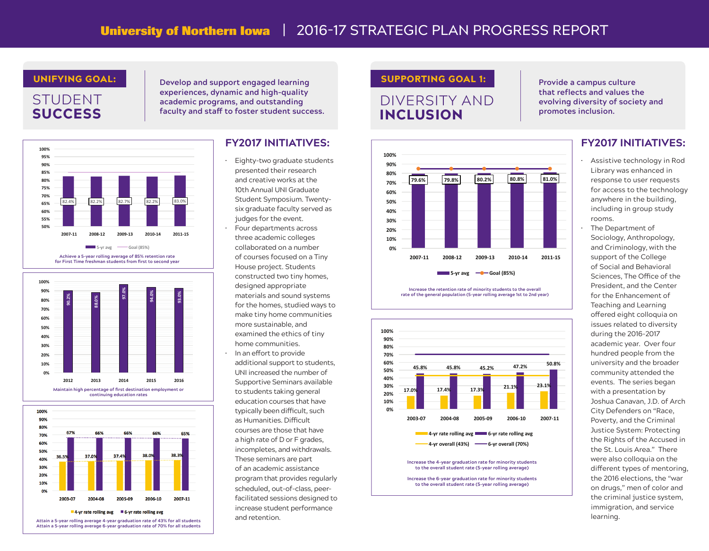## STUDENT **SUCCESS**

UNIFYING GOAL: **Our Develop and support engaged learning SUPPORTING GOAL 1: experiences, dynamic and high-quality academic programs, and outstanding**  faculty and staff to foster student success.

### **FY2017 INITIATIVES:**







**Attain a 5-year rolling average 4-year graduation rate of 43% for all students**

- Eighty-two graduate students presented their research and creative works at the 10th Annual UNI Graduate Student Symposium. Twentysix graduate faculty served as judges for the event. • Four departments across three academic colleges collaborated on a number of courses focused on a Tiny House project. Students constructed two tiny homes, designed appropriate materials and sound systems for the homes, studied ways to make tiny home communities more sustainable, and examined the ethics of tiny home communities.
- In an effort to provide additional support to students, UNI increased the number of Supportive Seminars available to students taking general education courses that have typically been difficult, such as Humanities. Difficult courses are those that have a high rate of D or F grades, incompletes, and withdrawals. These seminars are part of an academic assistance program that provides regularly scheduled, out-of-class, peerfacilitated sessions designed to increase student performance and retention.

# DIVERSITY AND INCLUSION

**Provide a campus culture that reflects and values the evolving diversity of society and promotes inclusion.** 



**Increase the retention rate of minority students to the overall rate of the general population (5-year rolling average 1st to 2nd year)**



**4-yr overall (43%)** -6-yr overall (70%)

**Increase the 4-year graduation rate for minority students to the overall student rate (5-year rolling average)**

**Increase the 6-year graduation rate for minority students to the overall student rate (5-year rolling average)**

### **FY2017 INITIATIVES:**

- Assistive technology in Rod Library was enhanced in response to user requests for access to the technology anywhere in the building, including in group study rooms.
	- The Department of Sociology, Anthropology, and Criminology, with the support of the College of Social and Behavioral Sciences, The Office of the President, and the Center for the Enhancement of Teaching and Learning offered eight colloquia on issues related to diversity during the 2016-2017 academic year. Over four hundred people from the university and the broader community attended the events. The series began with a presentation by Joshua Canavan, J.D. of Arch City Defenders on "Race, Poverty, and the Criminal Justice System: Protecting the Rights of the Accused in the St. Louis Area." There were also colloquia on the different types of mentoring, the 2016 elections, the "war on drugs," men of color and the criminal justice system, immigration, and service learning.